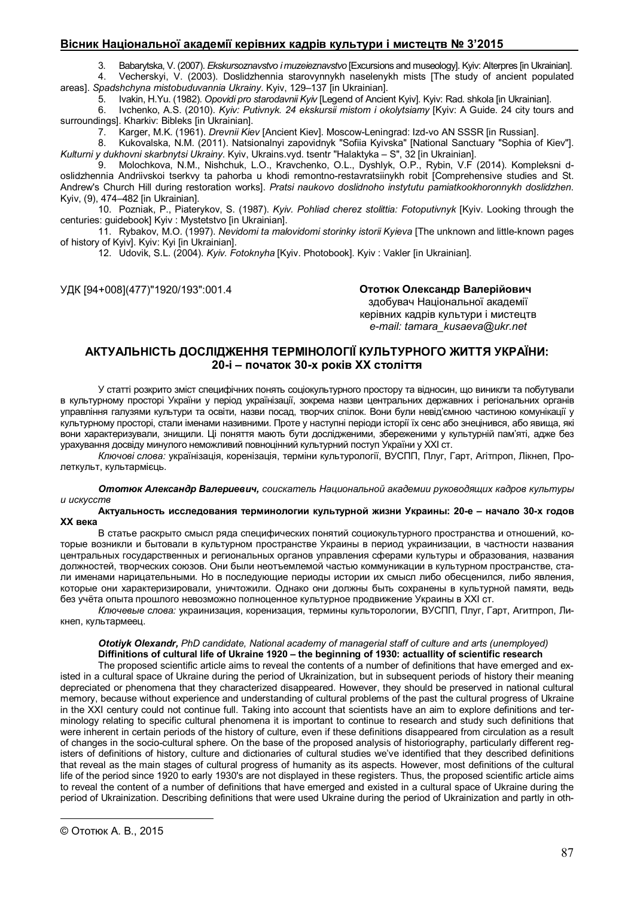## **Вісник Національної академії керівних кадрів культури і мистецтв № 3'2015**

3. Babarytska, V. (2007). *Ekskursoznavstvo i muzeieznavstvo* [Excursions and museology]. Kyiv: Alterpres [in Ukrainian].

4. Vecherskyi, V. (2003). Doslidzhennia starovynnykh naselenykh mists [The study of ancient populated areas]. *Spadshchyna mistobuduvannia Ukrainy*. Kyiv, 129–137 [in Ukrainian].

5. Ivakin, H.Yu. (1982). *Opovidi pro starodavnii Kyiv* [Legend of Ancient Kyiv]. Kyiv: Rad. shkola [in Ukrainian].

6. Ivchenko, A.S. (2010). *Kyiv: Putivnyk. 24 ekskursii mistom i okolytsiamy* [Kyiv: A Guide. 24 city tours and surroundings]. Kharkiv: Bibleks [in Ukrainian].<br>7. Karger, M.K. (1961). *Drevnii Kie*<br>8. Kukovalska. N.M. (2011). Natsi

7. Karger, M.K. (1961). *Drevnii Kiev* [Ancient Kiev]. Moscow-Leningrad: Izd-vo AN SSSR [in Russian].

8. Kukovalska, N.M. (2011). Natsionalnyi zapovidnyk "Sofiia Kyivska" [National Sanctuary "Sophia of Kiev"]. *Kulturni y dukhovni skarbnytsi Ukrainy*. Kyiv, Ukrains.vyd. tsentr "Halaktyka – S", 32 [in Ukrainian].

9. Molochkova, N.M., Nishchuk, L.O., Kravchenko, O.L., Dyshlyk, O.P., Rybin, V.F (2014). Kompleksni doslidzhennia Andriivskoi tserkvy ta pahorba u khodi remontno-restavratsiinykh robit [Comprehensive studies and St. Andrew's Church Hill during restoration works]. *Pratsi naukovo doslidnoho instytutu pamiatkookhoronnykh doslidzhen*. Kyiv, (9), 474–482 [in Ukrainian].

10. Pozniak, P., Piaterykov, S. (1987). *Kyiv. Pohliad cherez stolittia: Fotoputivnyk* [Kyiv. Looking through the centuries: guidebook] Kyiv : Mystetstvo [in Ukrainian].

11. Rybakov, M.O. (1997). *Nevidomi ta malovidomi storinky istorii Kyieva* [The unknown and little-known pages of history of Kyiv]. Kyiv: Kyi [in Ukrainian].

12. Udovik, S.L. (2004). *Kyiv. Fotoknyha* [Kyiv. Photobook]. Kyiv : Vakler [in Ukrainian].

УДК [94+008](477)"1920/193":001.4 **Ототюк Олександр Валерійович©**

здобувач Національної академії керівних кадрів культури і мистецтв *e-mail: tamara\_kusaeva@ukr.net*

# **АКТУАЛЬНІСТЬ ДОСЛІДЖЕННЯ ТЕРМІНОЛОГІЇ КУЛЬТУРНОГО ЖИТТЯ УКРАЇНИ: 20-і – початок 30-х років ХХ століття**

У статті розкрито зміст специфічних понять соціокультурного простору та відносин, що виникли та побутували в культурному просторі України у період українізації, зокрема назви центральних державних і регіональних органів управління галузями культури та освіти, назви посад, творчих спілок. Вони були невід'ємною частиною комунікації у культурному просторі, стали іменами називними. Проте у наступні періоди історії їх сенс або знецінився, або явища, які вони характеризували, знищили. Ці поняття мають бути дослідженими, збереженими у культурній пам'яті, адже без урахування досвіду минулого неможливий повноцінний культурний поступ України у ХХІ ст.

*Ключові слова:* українізація, коренізація, терміни культурології, ВУСПП, Плуг, Гарт, Агітпроп, Лікнеп, Пролеткульт, культармієць.

*Ототюк Александр Валериевич, соискатель Национальной академии руководящих кадров культуры и искусств* 

#### **Актуальность исследования терминологии культурной жизни Украины: 20-е – начало 30-х годов ХХ века**

В статье раскрыто смысл ряда специфических понятий социокультурного пространства и отношений, которые возникли и бытовали в культурном пространстве Украины в период украинизации, в частности названия центральных государственных и региональных органов управления сферами культуры и образования, названия должностей, творческих союзов. Они были неотъемлемой частью коммуникации в культурном пространстве, стали именами нарицательными. Но в последующие периоды истории их смысл либо обесценился, либо явления, которые они характеризировали, уничтожили. Однако они должны быть сохранены в культурной памяти, ведь без учёта опыта прошлого невозможно полноценное культурное продвижение Украины в XXІ ст.

*Ключевые слова:* украинизация, коренизация, термины культорологии, ВУСПП, Плуг, Гарт, Агитпроп, Ликнеп, культармеец.

# *Ototiyk Olexandr, PhD candidate, National academy of managerial staff of culture and arts (unemployed)*  **Diffinitions of cultural life of Ukraine 1920 – the beginning of 1930: actuallity of scientific research**

The proposed scientific article aims to reveal the contents of a number of definitions that have emerged and existed in a cultural space of Ukraine during the period of Ukrainization, but in subsequent periods of history their meaning depreciated or phenomena that they characterized disappeared. However, they should be preserved in national cultural memory, because without experience and understanding of cultural problems of the past the cultural progress of Ukraine in the XXI century could not continue full. Taking into account that scientists have an aim to explore definitions and terminology relating to specific cultural phenomena it is important to continue to research and study such definitions that were inherent in certain periods of the history of culture, even if these definitions disappeared from circulation as a result of changes in the socio-cultural sphere. On the base of the proposed analysis of historiography, particularly different registers of definitions of history, culture and dictionaries of cultural studies we've identified that they described definitions that reveal as the main stages of cultural progress of humanity as its aspects. However, most definitions of the cultural life of the period since 1920 to early 1930's are not displayed in these registers. Thus, the proposed scientific article aims to reveal the content of a number of definitions that have emerged and existed in a cultural space of Ukraine during the period of Ukrainization. Describing definitions that were used Ukraine during the period of Ukrainization and partly in oth-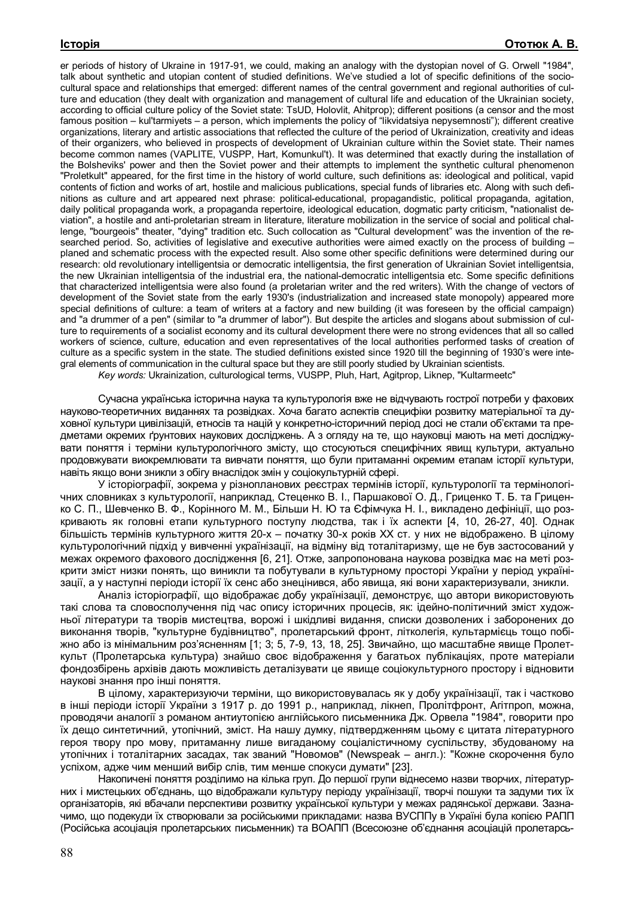er periods of history of Ukraine in 1917-91, we could, making an analogy with the dystopian novel of G. Orwell "1984", talk about synthetic and utopian content of studied definitions. We've studied a lot of specific definitions of the sociocultural space and relationships that emerged: different names of the central government and regional authorities of culture and education (they dealt with organization and management of cultural life and education of the Ukrainian society, according to official culture policy of the Soviet state: TsUD, Holovlit, Ahitprop); different positions (a censor and the most famous position – kul'tarmiyets – a person, which implements the policy of "likvidatsiya nepysemnosti"); different creative organizations, literary and artistic associations that reflected the culture of the period of Ukrainization, creativity and ideas of their organizers, who believed in prospects of development of Ukrainian culture within the Soviet state. Their names become common names (VAPLITE, VUSPP, Hart, Komunkul't). It was determined that exactly during the installation of the Bolsheviks' power and then the Soviet power and their attempts to implement the synthetic cultural phenomenon "Proletkult" appeared, for the first time in the history of world culture, such definitions as: ideological and political, vapid contents of fiction and works of art, hostile and malicious publications, special funds of libraries etc. Along with such definitions as culture and art appeared next phrase: political-educational, propagandistic, political propaganda, agitation, daily political propaganda work, a propaganda repertoire, ideological education, dogmatic party criticism, "nationalist deviation", a hostile and anti-proletarian stream in literature, literature mobilization in the service of social and political challenge, "bourgeois" theater, "dying" tradition etc. Such collocation as "Cultural development" was the invention of the researched period. So, activities of legislative and executive authorities were aimed exactly on the process of building – planed and schematic process with the expected result. Also some other specific definitions were determined during our research: old revolutionary intelligentsia or democratic intelligentsia, the first generation of Ukrainian Soviet intelligentsia, the new Ukrainian intelligentsia of the industrial era, the national-democratic intelligentsia etc. Some specific definitions that characterized intelligentsia were also found (a proletarian writer and the red writers). With the change of vectors of development of the Soviet state from the early 1930's (industrialization and increased state monopoly) appeared more special definitions of culture: a team of writers at a factory and new building (it was foreseen by the official campaign) and "a drummer of a pen" (similar to "a drummer of labor"). But despite the articles and slogans about submission of culture to requirements of a socialist economy and its cultural development there were no strong evidences that all so called workers of science, culture, education and even representatives of the local authorities performed tasks of creation of culture as a specific system in the state. The studied definitions existed since 1920 till the beginning of 1930's were integral elements of communication in the cultural space but they are still poorly studied by Ukrainian scientists.

*Key words:* Ukrainization, culturological terms, VUSPP, Pluh, Hart, Agitprop, Liknep, "Kultarmeetc"

Сучасна українська історична наука та культурологія вже не відчувають гострої потреби у фахових науково-теоретичних виданнях та розвідках. Хоча багато аспектів специфіки розвитку матеріальної та духовної культури цивілізацій, етносів та націй у конкретно-історичний період досі не стали об'єктами та предметами окремих ґрунтових наукових досліджень. А з огляду на те, що науковці мають на меті досліджувати поняття і терміни культурологічного змісту, що стосуються специфічних явищ культури, актуально продовжувати виокремлювати та вивчати поняття, що були притаманні окремим етапам історії культури, навіть якщо вони зникли з обігу внаслідок змін у соціокультурній сфері.

У історіографії, зокрема у різнопланових реєстрах термінів історії, культурології та термінологічних словниках з культурології, наприклад, Стеценко В. І., Паршакової О. Д., Гриценко Т. Б. та Гриценко С. П., Шевченко В. Ф., Корінного М. М., Більши Н. Ю та Єфімчука Н. І., викладено дефініції, що розкривають як головні етапи культурного поступу людства, так і їх аспекти [4, 10, 26-27, 40]. Однак більшість термінів культурного життя 20-х – початку 30-х років ХХ ст. у них не відображено. В цілому культурологічний підхід у вивченні українізації, на відміну від тоталітаризму, ще не був застосований у межах окремого фахового дослідження [6, 21]. Отже, запропонована наукова розвідка має на меті розкрити зміст низки понять, що виникли та побутували в культурному просторі України у період українізації, а у наступні періоди історії їх сенс або знецінився, або явища, які вони характеризували, зникли.

Аналіз історіографії, що відображає добу українізації, демонструє, що автори використовують такі слова та словосполучення під час опису історичних процесів, як: ідейно-політичний зміст художньої літератури та творів мистецтва, ворожі і шкідливі видання, списки дозволених і заборонених до виконання творів, "культурне будівництво", пролетарський фронт, літколегія, культармієць тощо побіжно або із мінімальним роз'ясненням [1; 3; 5, 7-9, 13, 18, 25]. Звичайно, що масштабне явище Пролеткульт (Пролетарська культура) знайшо своє відображення у багатьох публікаціях, проте матеріали фондозбірень архівів дають можливість деталізувати це явище соціокультурного простору і відновити наукові знання про інші поняття.

В цілому, характеризуючи терміни, що використовувалась як у добу українізації, так і частково в інші періоди історії України з 1917 р. до 1991 р., наприклад, лікнеп, Пролітфронт, Агітпроп, можна, проводячи аналогії з романом антиутопією англійського письменника Дж. Орвела "1984", говорити про їх дещо синтетичний, утопічний, зміст. На нашу думку, підтвердженням цьому є цитата літературного героя твору про мову, притаманну лише вигаданому соціалістичному суспільству, збудованому на утопічних і тоталітарних засадах, так званий "Новомов" (Newspeak – англ.): "Кожне скорочення було успіхом, адже чим менший вибір слів, тим менше спокуси думати" [23].

Накопичені поняття розділимо на кілька груп. До першої групи віднесемо назви творчих, літературних і мистецьких об'єднань, що відображали культуру періоду українізації, творчі пошуки та задуми тих їх організаторів, які вбачали перспективи розвитку української культури у межах радянської держави. Зазначимо, що подекуди їх створювали за російськими прикладами: назва ВУСППу в Україні була копією РАПП (Російська асоціація пролетарських письменник) та ВОАПП (Всесоюзне об'єднання асоціацій пролетарсь-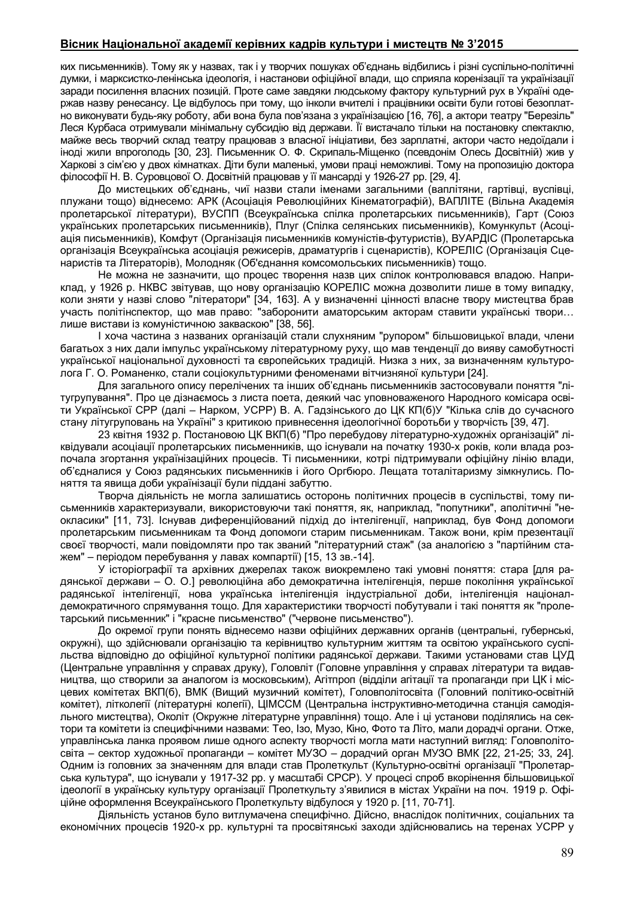## **Вісник Національної академії керівних кадрів культури і мистецтв № 3'2015**

ких письменників). Тому як у назвах, так і у творчих пошуках об'єднань відбились і різні суспільно-політичні думки, і марксистко-ленінська ідеологія, і настанови офіційної влади, що сприяла коренізації та українізації заради посилення власних позицій. Проте саме завдяки людському фактору культурний рух в Україні одержав назву ренесансу. Це відбулось при тому, що інколи вчителі і працівники освіти були готові безоплатно виконувати будь-яку роботу, аби вона була пов'язана з українізацією [16, 76], а актори театру "Березіль" Леся Курбаса отримували мінімальну субсидію від держави. Її вистачало тільки на постановку спектаклю, майже весь творчий склад театру працював з власної ініціативи, без зарплатні, актори часто недоїдали і іноді жили впроголодь [30, 23]. Письменник О. Ф. Скрипаль-Міщенко (псевдонім Олесь Досвітній) жив у Харкові з сім'єю у двох кімнатках. Діти були маленькі, умови праці неможливі. Тому на пропозицію доктора філософії Н. В. Суровцової О. Досвітній працював у її мансарді у 1926-27 рр. [29, 4].

До мистецьких об'єднань, чиї назви стали іменами загальними (ваплітяни, гартівці, вуспівці, плужани тощо) віднесемо: АРК (Асоціація Революційних Кінематографій), ВАПЛІТЕ (Вільна Академія пролетарської літератури), ВУСПП (Всеукраїнська спілка пролетарських письменників), Гарт (Союз українських пролетарських письменників), Плуг (Спілка селянських письменників), Комункульт (Асоціація письменників), Комфут (Організація письменників комуністів-футуристів), ВУАРДІС (Пролетарська організація Всеукраїнська асоціація режисерів, драматургів і сценаристів), КОРЕЛІС (Організація Сценаристів та Літераторів), Молодняк (Об'єднання комсомольських письменників) тощо.

Не можна не зазначити, що процес творення назв цих спілок контролювався владою. Наприклад, у 1926 р. НКВС звітував, що нову організацію КОРЕЛІС можна дозволити лише в тому випадку, коли зняти у назві слово "літератори" [34, 163]. А у визначенні цінності власне твору мистецтва брав участь політінспектор, що мав право: "заборонити аматорським акторам ставити українські твори… лише вистави із комуністичною закваскою" [38, 56].

І хоча частина з названих організацій стали слухняним "рупором" більшовицької влади, члени багатьох з них дали імпульс українському літературному руху, що мав тенденції до вияву самобутності української національної духовності та європейських традицій. Низка з них, за визначенням культуролога Г. О. Романенко, стали соціокультурними феноменами вітчизняної культури [24].

Для загального опису перелічених та інших об'єднань письменників застосовували поняття "літугрупування". Про це дізнаємось з листа поета, деякий час уповноваженого Народного комісара освіти Української СРР (далі – Нарком, УСРР) В. А. Гадзінського до ЦК КП(б)У "Кілька слів до сучасного стану літугруповань на Україні" з критикою привнесення ідеологічної боротьби у творчість [39, 47].

23 квітня 1932 р. Постановою ЦК ВКП(б) "Про перебудову літературно-художніх організацій" ліквідували асоціації пролетарських письменників, що існували на початку 1930-х років, коли влада розпочала згортання українізаційних процесів. Ті письменники, котрі підтримували офіційну лінію влади, об'єдналися у Союз радянських письменників і його Оргбюро. Лещата тоталітаризму зімкнулись. Поняття та явища доби українізації були піддані забуттю.

Творча діяльність не могла залишатись осторонь політичних процесів в суспільстві, тому письменників характеризували, використовуючи такі поняття, як, наприклад, "попутники", аполітичні "неокласики" [11, 73]. Існував диференційований підхід до інтелігенції, наприклад, був Фонд допомоги пролетарським письменникам та Фонд допомоги старим письменникам. Також вони, крім презентації своєї творчості, мали повідомляти про так званий "літературний стаж" (за аналогією з "партійним стажем" – періодом перебування у лавах компартії) [15, 13 зв.-14].

У історіографії та архівних джерелах також виокремлено такі умовні поняття: стара [для радянської держави – О. О.] революційна або демократична інтелігенція, перше покоління української радянської інтелігенції, нова українська інтелігенція індустріальної доби, інтелігенція націоналдемократичного спрямування тощо. Для характеристики творчості побутували і такі поняття як "пролетарський письменник" і "красне письменство" ("червоне письменство").

До окремої групи понять віднесемо назви офіційних державних органів (центральні, губернські, окружні), що здійснювали організацію та керівництво культурним життям та освітою українського суспільства відповідно до офіційної культурної політики радянської держави. Такими установами став ЦУД (Центральне управління у справах друку), Головліт (Головне управління у справах літератури та видавництва, що створили за аналогом із московським), Агітпроп (відділи агітації та пропаганди при ЦК і місцевих комітетах ВКП(б), ВМК (Вищий музичний комітет), Головполітосвіта (Головний політико-освітній комітет), літколегії (літературні колегії), ЦІМССМ (Центральна інструктивно-методична станція самодіяльного мистецтва), Околіт (Окружне літературне управління) тощо. Але і ці установи поділялись на сектори та комітети із специфічними назвами: Тео, Ізо, Музо, Кіно, Фото та Літо, мали дорадчі органи. Отже, управлінська ланка проявом лише одного аспекту творчості могла мати наступний вигляд: Головполітосвіта – сектор художньої пропаганди – комітет МУЗО – дорадчий орган МУЗО ВМК [22, 21-25; 33, 24]. Одним із головних за значенням для влади став Пролеткульт (Культурно-освітні організації "Пролетарська культура", що існували у 1917-32 рр. у масштабі СРСР). У процесі спроб вкорінення більшовицької ідеології в українську культуру організації Пролеткульту з'явилися в містах України на поч. 1919 р. Офіційне оформлення Всеукраїнського Пролеткульту відбулося у 1920 р. [11, 70-71].

Діяльність установ було витлумачена специфічно. Дійсно, внаслідок політичних, соціальних та економічних процесів 1920-х рр. культурні та просвітянські заходи здійснювались на теренах УСРР у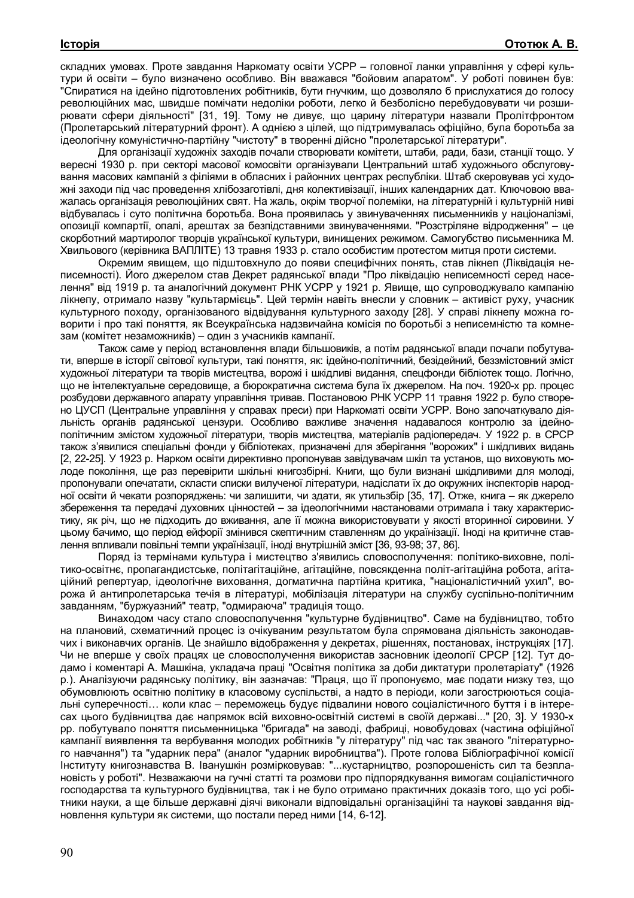складних умовах. Проте завдання Наркомату освіти УСРР – головної ланки управління у сфері культури й освіти – було визначено особливо. Він вважався "бойовим апаратом". У роботі повинен був: "Спиратися на ідейно підготовлених робітників, бути гнучким, що дозволяло б прислухатися до голосу революційних мас, швидше помічати недоліки роботи, легко й безболісно перебудовувати чи розширювати сфери діяльності" [31, 19]. Тому не дивує, що царину літератури назвали Пролітфронтом (Пролетарський літературний фронт). А однією з цілей, що підтримувалась офіційно, була боротьба за ідеологічну комуністично-партійну "чистоту" в творенні дійсно "пролетарської літератури".

Для організації художніх заходів почали створювати комітети, штаби, ради, бази, станції тощо. У вересні 1930 р. при секторі масової комосвіти організували Центральний штаб художнього обслуговування масових кампаній з філіями в обласних і районних центрах республіки. Штаб скеровував усі художні заходи під час проведення хлібозаготівлі, дня колективізації, інших календарних дат. Ключовою вважалась організація революційних свят. На жаль, окрім творчої полеміки, на літературній і культурній ниві відбувалась і суто політична боротьба. Вона проявилась у звинуваченнях письменників у націоналізмі, опозиції компартії, опалі, арештах за безпідставними звинуваченнями. "Розстріляне відродження" – це скорботний мартиролог творців української культури, винищених режимом. Самогубство письменника М. Хвильового (керівника ВАПЛІТЕ) 13 травня 1933 р. стало особистим протестом митця проти системи.

Окремим явищем, що підштовхнуло до появи специфічних понять, став лікнеп (Ліквідація неписемності). Його джерелом став Декрет радянської влади "Про ліквідацію неписемності серед населення" від 1919 р. та аналогічний документ РНК УСРР у 1921 р. Явище, що супроводжувало кампанію лікнепу, отримало назву "культармієць". Цей термін навіть внесли у словник – активіст руху, учасник культурного походу, організованого відвідування культурного заходу [28]. У справі лікнепу можна говорити і про такі поняття, як Всеукраїнська надзвичайна комісія по боротьбі з неписемністю та комнезам (комітет незаможників) – один з учасників кампанії.

Також саме у період встановлення влади більшовиків, а потім радянської влади почали побутувати, вперше в історії світової культури, такі поняття, як: ідейно-політичний, безідейний, беззмістовний зміст художньої літератури та творів мистецтва, ворожі і шкідливі видання, спецфонди бібліотек тощо. Логічно, що не інтелектуальне середовище, а бюрократична система була їх джерелом. На поч. 1920-х рр. процес розбудови державного апарату управління тривав. Постановою РНК УСРР 11 травня 1922 р. було створено ЦУСП (Центральне управління у справах преси) при Наркоматі освіти УСРР. Воно започаткувало діяльність органів радянської цензури. Особливо важливе значення надавалося контролю за ідейнополітичним змістом художньої літератури, творів мистецтва, матеріалів радіопередач. У 1922 р. в СРСР також з'явилися спеціальні фонди у бібліотеках, призначені для зберігання "ворожих" і шкідливих видань [2, 22-25]. У 1923 р. Нарком освіти директивно пропонував завідувачам шкіл та установ, що виховують молоде покоління, ще раз перевірити шкільні книгозбірні. Книги, що були визнані шкідливими для молоді, пропонували опечатати, скласти списки вилученої літератури, надіслати їх до окружних інспекторів народної освіти й чекати розпоряджень: чи залишити, чи здати, як утильзбір [35, 17]. Отже, книга – як джерело збереження та передачі духовних цінностей – за ідеологічними настановами отримала і таку характеристику, як річ, що не підходить до вживання, але її можна використовувати у якості вторинної сировини. У цьому бачимо, що період ейфорії змінився скептичним ставленням до українізації. Іноді на критичне ставлення впливали повільні темпи українізації, іноді внутрішній зміст [36, 93-98; 37, 86].

Поряд із термінами культура і мистецтво з'явились словосполучення: політико-виховне, політико-освітнє, пропагандистське, політагітаційне, агітаційне, повсякденна політ-агітаційна робота, агітаційний репертуар, ідеологічне виховання, догматична партійна критика, "націоналістичний ухил", ворожа й антипролетарська течія в літературі, мобілізація літератури на службу суспільно-політичним завданням, "буржуазний" театр, "одмираюча" традиція тощо.

Винаходом часу стало словосполучення "культурне будівництво". Саме на будівництво, тобто на плановий, схематичний процес із очікуваним результатом була спрямована діяльність законодавчих і виконавчих органів. Це знайшло відображення у декретах, рішеннях, постановах, інструкціях [17]. Чи не вперше у своїх працях це словосполучення використав засновник ідеології СРСР [12]. Тут додамо і коментарі А. Машкіна, укладача праці "Освітня політика за доби диктатури пролетаріату" (1926 р.). Аналізуючи радянську політику, він зазначав: "Праця, що її пропонуємо, має подати низку тез, що обумовлюють освітню політику в класовому суспільстві, а надто в періоди, коли загострюються соціальні суперечності… коли клас – переможець будує підвалини нового соціалістичного буття і в інтересах цього будівництва дає напрямок всій виховно-освітній системі в своїй державі..." [20, 3]. У 1930-х рр. побутувало поняття письменницька "бригада" на заводі, фабриці, новобудовах (частина офіційної кампанії виявлення та вербування молодих робітників "у літературу" під час так званого "літературного навчання") та "ударник пера" (аналог "ударник виробництва"). Проте голова Бібліографічної комісії Інституту книгознавства В. Іванушкін розмірковував: "...кустарництво, розпорошеність сил та безплановість у роботі". Незважаючи на гучні статті та розмови про підпорядкування вимогам соціалістичного господарства та культурного будівництва, так і не було отримано практичних доказів того, що усі робітники науки, а ще більше державні діячі виконали відповідальні організаційні та наукові завдання відновлення культури як системи, що постали перед ними [14, 6-12].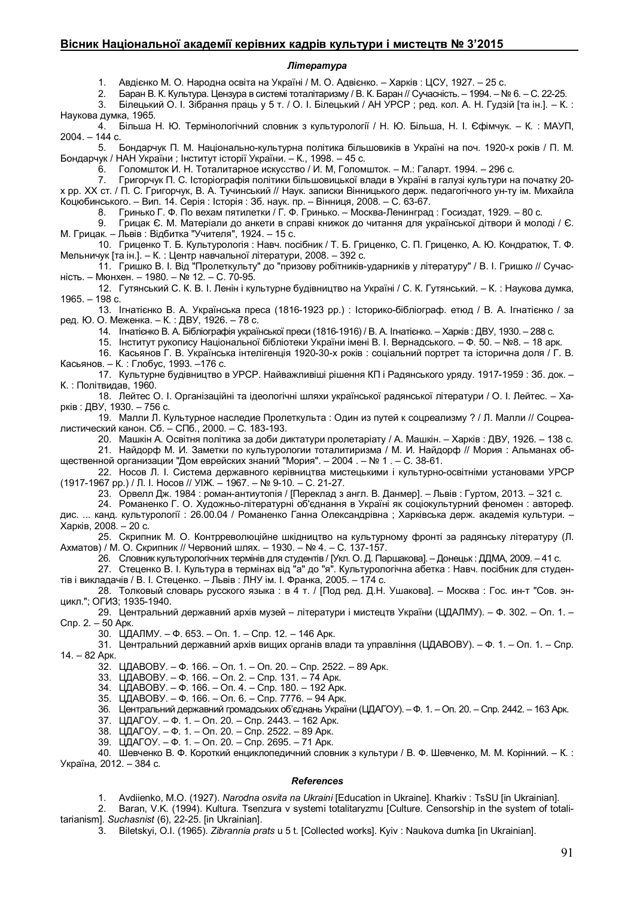### **Вісник Національної академії керівних кадрів культури і мистецтв № 3'2015**

#### *Література*

1. Авдієнко М. О. Народна освіта на Україні / М. О. Адвієнко. – Харків : ЦСУ, 1927. – 25 с.<br>2. Баран В. К. Культура. Пензура в системі тоталітаризму / В. К. Баран // Сучасність. – 1994. – N

2. Баран В. К. Культура. Цензура в системі тоталітаризму / В. К. Баран // Сучасність. – 1994. – № 6. – С. 22-25.<br>3. Білецький О. І. Зібрання праць у 5 т. / О. І. Білецький / АН УРСР: ред. кол. А. Н. Гудзій Іта ін. І. – К 3. Білецький О. І. Зібрання праць у 5 т. / О. І. Білецький / АН УРСР ; ред. кол. А. Н. Гудзій [та ін.]. – К. :

Наукова думка, 1965.

4. Більша Н. Ю. Термінологічний словник з культурології / Н. Ю. Більша, Н. І. Єфімчук. – К. : МАУП, 2004. – 144 с.

5. Бондарчук П. М. Національно-культурна політика більшовиків в Україні на поч. 1920-х років / П. М. Бондарчук / НАН України ; Інститут історії України. – К., 1998. – 45 с.

6. Голомшток И. Н. Тоталитарное искусство / И. М, Голомшток. – М.: Галарт. 1994. – 296 с.

7. Григорчук П. С. Історіографія політики більшовицької влади в Україні в галузі культури на початку 20 х рр. ХХ ст. / П. С. Григорчук, В. А. Тучинський // Наук. записки Вінницького держ. педагогічного ун-ту ім. Михайла Коцюбинського. – Вип. 14. Серія : Історія : Зб. наук. пр. – Вінниця, 2008. – С. 63-67.

8. Гринько Г. Ф. По вехам пятилетки / Г. Ф. Гринько. – Москва-Ленинград : Госиздат, 1929. – 80 с.

9. Грицак Є. М. Матеріали до анкети в справі книжок до читання для української дітвори й молоді / Є. М. Грицак. – Львів : Відбитка "Учителя", 1924. – 15 с.

10. Гриценко Т. Б. Культурологія : Навч. посібник / Т. Б. Гриценко, С. П. Гриценко, А. Ю. Кондратюк, Т. Ф. Мельничук [та ін.]. – К. : Центр навчальної літератури, 2008. – 392 с.

11. Гришко В. І. Від "Пролеткульту" до "призову робітників-ударників у літературу" / В. І. Гришко // Сучасність. – Мюнхен. – 1980. – № 12. – С. 70-95.

12. Гутянський С. К. В. І. Ленін і культурне будівництво на Україні / С. К. Гутянський. – К. : Наукова думка, 1965. – 198 с.

13. Ігнатієнко В. А. Українська преса (1816-1923 рр.) : Історико-бібліограф. етюд / В. А. Ігнатієнко / за ред. Ю. О. Меженка. – К. : ДВУ, 1926. – 78 с.

14. Ігнатієнко В. А. Бібліографія української преси (1816-1916) / В. А. Ігнатієнко. – Харків : ДВУ, 1930. – 288 с.

15. Інститут рукопису Національної бібліотеки України імені В. І. Вернадського. – Ф. 50. – №8. – 18 арк.

16. Касьянов Г. В. Українська інтелігенція 1920-30-х років : соціальний портрет та історична доля / Г. В. Касьянов. – К. : Глобус, 1993. –176 с.

17. Культурне будівництво в УРСР. Найважливіші рішення КП і Радянського уряду. 1917-1959 : Зб. док. – К. : Політвидав, 1960.

18. Лейтес О. І. Організаційні та ідеологічні шляхи української радянської літератури / О. І. Лейтес. – Харків : ДВУ, 1930. – 756 с.

19. Малли Л. Культурное наследие Пролеткульта : Один из путей к соцреализму ? / Л. Малли // Соцреалистический канон. Сб. – СПб., 2000. – С. 183-193.

20. Машкін А. Освітня політика за доби диктатури пролетаріату / А. Машкін. – Харків : ДВУ, 1926. – 138 с.

21. Найдорф М. И. Заметки по культурологии тоталитиризма / М. И. Найдорф // Мория : Альманах общественной организации "Дом еврейских знаний "Мория". – 2004 . – № 1 . – С. 38-61.

22. Носов Л. І. Система державного керівництва мистецькими і культурно-освітніми установами УРСР (1917-1967 рр.) / Л. І. Носов // УІЖ. – 1967. – № 9-10. – С. 21-27.

23. Орвелл Дж. 1984 : роман-антиутопія / [Переклад з англ. В. Данмер]. – Львів : Гуртом, 2013. – 321 с.

24. Романенко Г. О. Художньо-літературні об'єднання в Україні як соціокультурний феномен : автореф. дис. ... канд. культурології : 26.00.04 / Романенко Ганна Олександрівна ; Харківська держ. академія культури. – Харків, 2008. – 20 с.

25. Скрипник М. О. Контрреволюційне шкідництво на культурному фронті за радянську літературу (Л. Ахматов) / М. О. Скрипник // Червоний шлях. – 1930. – № 4. – С. 137-157.

26. Словник культурологічних термінів для студентів / [Укл. О. Д. Паршакова]. – Донецьк : ДДМА, 2009. – 41 с.

27. Стеценко В. І. Культура в термінах від "а" до "я". Культурологічна абетка : Навч. посібник для студентів і викладачів / В. І. Стеценко. – Львів : ЛНУ ім. І. Франка, 2005. – 174 с.

28. Толковый словарь русского языка : в 4 т. / [Под ред. Д.Н. Ушакова]. – Москва : Гос. ин-т "Сов. энцикл."; ОГИЗ; 1935-1940.

29. Центральний державний архів музей – літератури і мистецтв України (ЦДАЛМУ). – Ф. 302. – Оп. 1. – Спр. 2. – 50 Арк.

30. ЦДАЛМУ. – Ф. 653. – Оп. 1. – Спр. 12. – 146 Арк.

31. Центральний державний архів вищих органів влади та управління (ЦДАВОВУ). – Ф. 1. – Оп. 1. – Спр. 14. – 82 Арк.

32. ЦДАВОВУ. – Ф. 166. – Оп. 1. – Оп. 20. – Спр. 2522. – 89 Арк.

33. ЦДАВОВУ. – Ф. 166. – Оп. 2. – Спр. 131. – 74 Арк.

34. ЦДАВОВУ. – Ф. 166. – Оп. 4. – Спр. 180. – 192 Арк.

35. ЦДАВОВУ. – Ф. 166. – Оп. 6. – Спр. 7776. – 94 Арк.

36. Центральний державний громадських об'єднань України (ЦДАГОУ). – Ф. 1. – Оп. 20. – Спр. 2442. – 163 Арк.

37. ЦДАГОУ. – Ф. 1. – Оп. 20. – Спр. 2443. – 162 Арк.

38. ЦДАГОУ. – Ф. 1. – Оп. 20. – Спр. 2522. – 89 Арк.

39. ЦДАГОУ. – Ф. 1. – Оп. 20. – Спр. 2695. – 71 Арк.

40. Шевченко В. Ф. Короткий енциклопедичний словник з культури / В. Ф. Шевченко, М. М. Корінний. – К. : Україна, 2012. – 384 с.

#### *References*

1. Avdiienko, M.O. (1927). *Narodna osvita na Ukraini* [Education in Ukraine]. Kharkiv : TsSU [in Ukrainian].

2. Baran, V.K. (1994). Kultura. Tsenzura v systemi totalitaryzmu [Culture. Censorship in the system of totalitarianism]. *Suchasnist* (6), 22-25. [in Ukrainian].

3. Biletskyi, O.I. (1965). *Zibrannia prats* u 5 t. [Collected works]. Kyiv : Naukova dumka [in Ukrainian].